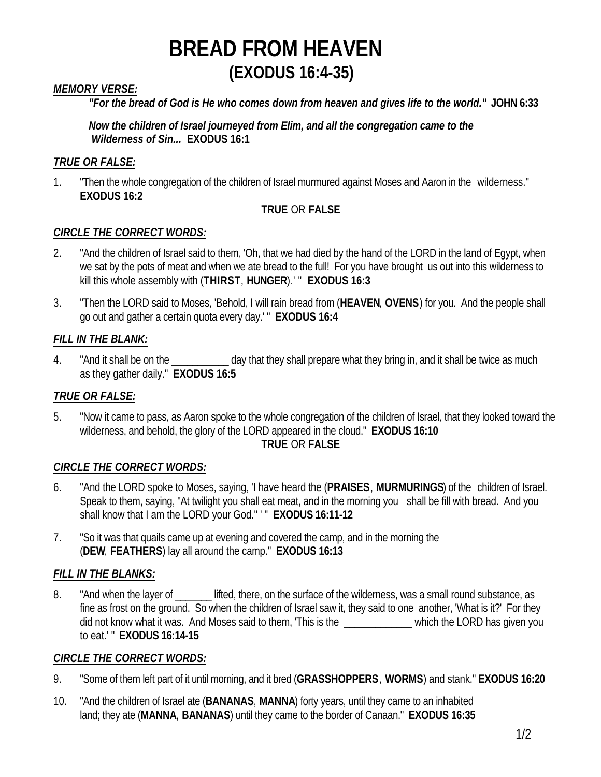### *MEMORY VERSE:*

*"For the bread of God is He who comes down from heaven and gives life to the world."* **JOHN 6:33**

*Now the children of Israel journeyed from Elim, and all the congregation came to the Wilderness of Sin...* **EXODUS 16:1**

### *TRUE OR FALSE:*

1. "Then the whole congregation of the children of Israel murmured against Moses and Aaron in the wilderness." **EXODUS 16:2**

### **TRUE** OR **FALSE**

### *CIRCLE THE CORRECT WORDS:*

- 2. "And the children of Israel said to them, 'Oh, that we had died by the hand of the LORD in the land of Egypt, when we sat by the pots of meat and when we ate bread to the full! For you have brought us out into this wilderness to kill this whole assembly with (**THIRST**, **HUNGER**).' " **EXODUS 16:3**
- 3. "Then the LORD said to Moses, 'Behold, I will rain bread from (**HEAVEN**, **OVENS**) for you. And the people shall go out and gather a certain quota every day.' " **EXODUS 16:4**

## *FILL IN THE BLANK:*

4. "And it shall be on the \_\_\_\_\_\_\_\_\_\_\_\_ day that they shall prepare what they bring in, and it shall be twice as much as they gather daily." **EXODUS 16:5**

### *TRUE OR FALSE:*

5. "Now it came to pass, as Aaron spoke to the whole congregation of the children of Israel, that they looked toward the wilderness, and behold, the glory of the LORD appeared in the cloud." **EXODUS 16:10**

#### **TRUE** OR **FALSE**

### *CIRCLE THE CORRECT WORDS:*

- 6. "And the LORD spoke to Moses, saying, 'I have heard the (**PRAISES**, **MURMURINGS**) of the children of Israel. Speak to them, saying, "At twilight you shall eat meat, and in the morning you shall be fill with bread. And you shall know that I am the LORD your God." ' " **EXODUS 16:11-12**
- 7. "So it was that quails came up at evening and covered the camp, and in the morning the (**DEW**, **FEATHERS**) lay all around the camp." **EXODUS 16:13**

### *FILL IN THE BLANKS:*

8. "And when the layer of **we lifted, there, on the surface of the wilderness**, was a small round substance, as fine as frost on the ground. So when the children of Israel saw it, they said to one another, 'What is it?' For they did not know what it was. And Moses said to them, 'This is the \_\_\_\_\_\_\_\_\_\_\_\_\_ which the LORD has given you to eat.' " **EXODUS 16:14-15**

### *CIRCLE THE CORRECT WORDS:*

- 9. "Some of them left part of it until morning, and it bred (**GRASSHOPPERS**, **WORMS**) and stank." **EXODUS 16:20**
- 10. "And the children of Israel ate (**BANANAS**, **MANNA**) forty years, until they came to an inhabited land; they ate (**MANNA**, **BANANAS**) until they came to the border of Canaan." **EXODUS 16:35**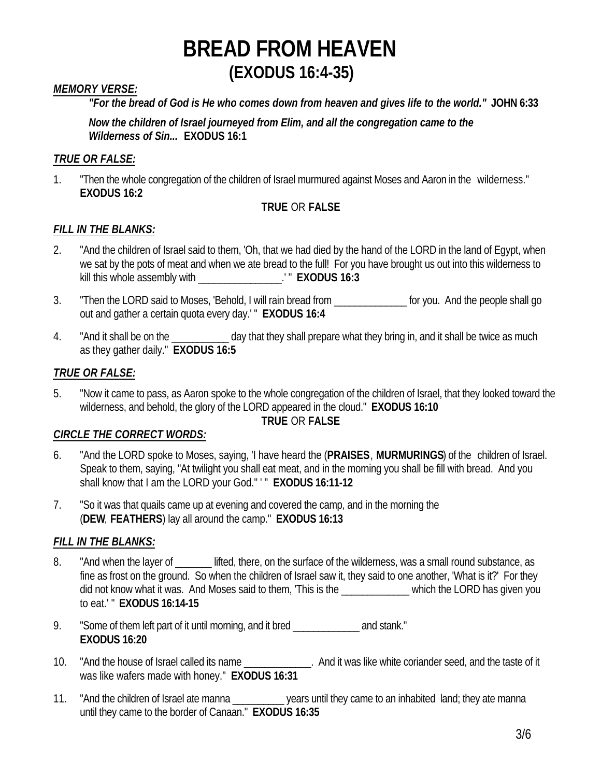### *MEMORY VERSE:*

*"For the bread of God is He who comes down from heaven and gives life to the world."* **JOHN 6:33**

*Now the children of Israel journeyed from Elim, and all the congregation came to the Wilderness of Sin...* **EXODUS 16:1**

#### *TRUE OR FALSE:*

1. "Then the whole congregation of the children of Israel murmured against Moses and Aaron in the wilderness." **EXODUS 16:2**

#### **TRUE** OR **FALSE**

#### *FILL IN THE BLANKS:*

- 2. "And the children of Israel said to them, 'Oh, that we had died by the hand of the LORD in the land of Egypt, when we sat by the pots of meat and when we ate bread to the full! For you have brought us out into this wilderness to kill this whole assembly with \_\_\_\_\_\_\_\_\_\_\_\_\_\_\_\_.' " **EXODUS 16:3**
- 3. "Then the LORD said to Moses, 'Behold, I will rain bread from \_\_\_\_\_\_\_\_\_\_\_\_\_\_\_ for you. And the people shall go out and gather a certain quota every day.' " **EXODUS 16:4**
- 4. "And it shall be on the same and a day that they shall prepare what they bring in, and it shall be twice as much as they gather daily." **EXODUS 16:5**

#### *TRUE OR FALSE:*

5. "Now it came to pass, as Aaron spoke to the whole congregation of the children of Israel, that they looked toward the wilderness, and behold, the glory of the LORD appeared in the cloud." **EXODUS 16:10**

#### **TRUE** OR **FALSE**

#### *CIRCLE THE CORRECT WORDS:*

- 6. "And the LORD spoke to Moses, saying, 'I have heard the (**PRAISES**, **MURMURINGS**) of the children of Israel. Speak to them, saying, "At twilight you shall eat meat, and in the morning you shall be fill with bread. And you shall know that I am the LORD your God." ' " **EXODUS 16:11-12**
- 7. "So it was that quails came up at evening and covered the camp, and in the morning the (**DEW**, **FEATHERS**) lay all around the camp." **EXODUS 16:13**

#### *FILL IN THE BLANKS:*

- 8. "And when the layer of **Lately lifted, there, on the surface of the wilderness**, was a small round substance, as fine as frost on the ground. So when the children of Israel saw it, they said to one another, 'What is it?' For they did not know what it was. And Moses said to them, 'This is the \_\_\_\_\_\_\_\_\_\_\_\_\_\_\_ which the LORD has given you to eat.' " **EXODUS 16:14-15**
- 9. "Some of them left part of it until morning, and it bred \_\_\_\_\_\_\_\_\_\_\_\_\_ and stank." **EXODUS 16:20**
- 10. "And the house of Israel called its name \_\_\_\_\_\_\_\_\_\_\_\_\_\_. And it was like white coriander seed, and the taste of it was like wafers made with honey." **EXODUS 16:31**
- 11. "And the children of Israel ate manna \_\_\_\_\_\_\_\_\_\_ years until they came to an inhabited land; they ate manna until they came to the border of Canaan." **EXODUS 16:35**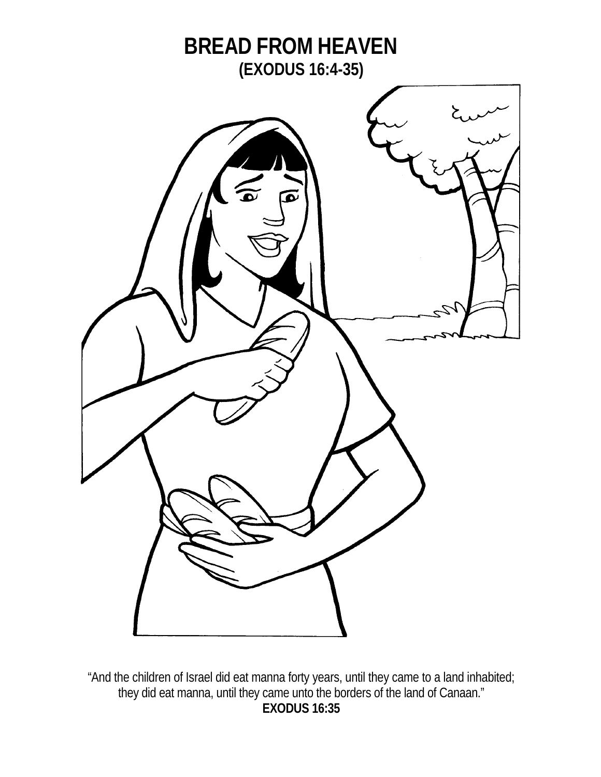

"And the children of Israel did eat manna forty years, until they came to a land inhabited; they did eat manna, until they came unto the borders of the land of Canaan." **EXODUS 16:35**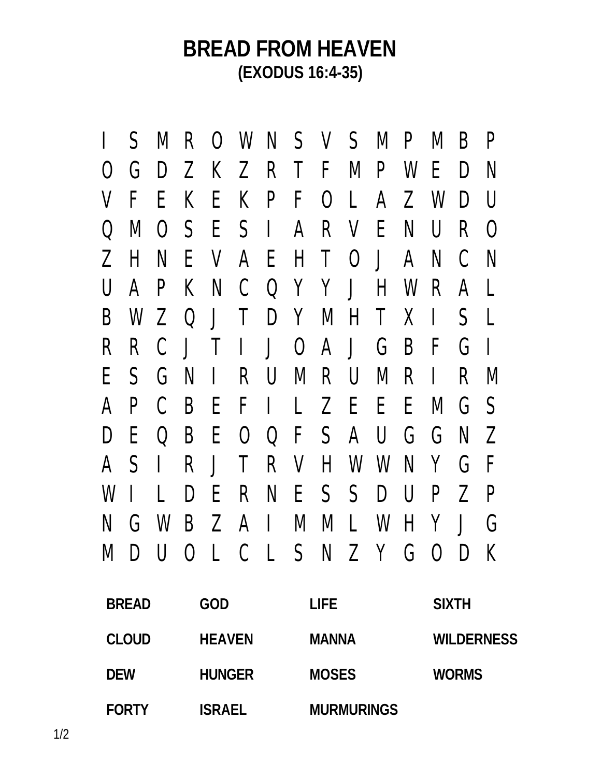|   |  |  | I SMROWNSVSMPMBP              |  |                               |  |  |  |
|---|--|--|-------------------------------|--|-------------------------------|--|--|--|
| O |  |  | GDZKZRTFMPWEDN                |  |                               |  |  |  |
|   |  |  | V F E K E K P F O L A Z W D U |  |                               |  |  |  |
|   |  |  | Q M O S E S I A R V E N U R O |  |                               |  |  |  |
|   |  |  | ZHNEVAEHTOJANCN               |  |                               |  |  |  |
|   |  |  | U A P K N C Q Y Y J H W R A L |  |                               |  |  |  |
|   |  |  | B W Z Q J T D Y M H T X I S L |  |                               |  |  |  |
|   |  |  | R R C J T I J O A J G B F G I |  |                               |  |  |  |
|   |  |  | ESGNIRUMRUMRIRM               |  |                               |  |  |  |
|   |  |  |                               |  |                               |  |  |  |
|   |  |  |                               |  | A P C B E F I L Z E E E M G S |  |  |  |
|   |  |  | DEQBEOQFSAUGGNZ               |  |                               |  |  |  |
|   |  |  | A S I R J T R V H W W N Y G F |  |                               |  |  |  |
|   |  |  | WILDERNESSDUPZP               |  |                               |  |  |  |
|   |  |  | N G W B Z A I M M L W H Y J G |  |                               |  |  |  |
|   |  |  | MDUOLCLSNZYGODK               |  |                               |  |  |  |

| <b>BREAD</b> | GOD           | LIFE              | <b>SIXTH</b>      |
|--------------|---------------|-------------------|-------------------|
| <b>CLOUD</b> | <b>HEAVEN</b> | <b>MANNA</b>      | <b>WILDERNESS</b> |
| <b>DEW</b>   | <b>HUNGER</b> | <b>MOSES</b>      | <b>WORMS</b>      |
| <b>FORTY</b> | <b>ISRAEL</b> | <b>MURMURINGS</b> |                   |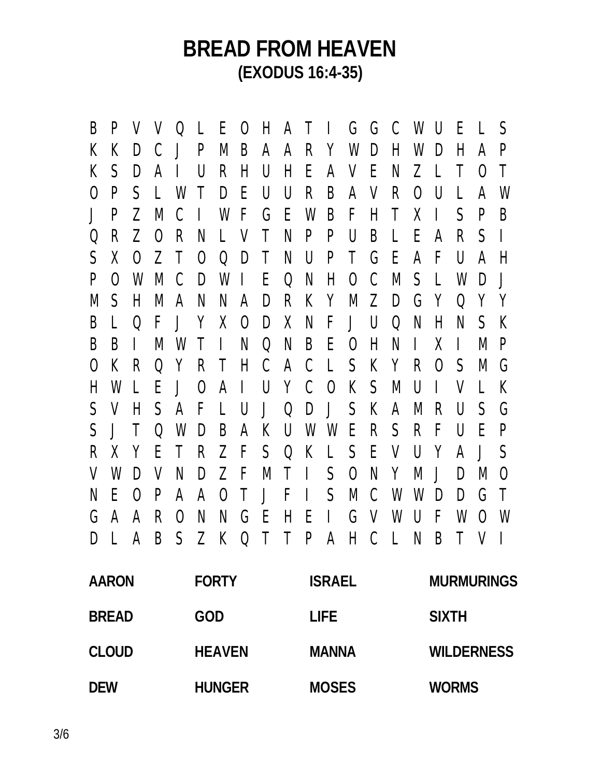B P V V Q L E O H A T I G G C W U E L S K K D C J P M B A A R Y W D H W D H A P K S D A I U R H U H E A V E N Z L T O T O P S L W T D E U U R B A V R O U L A W J P Z M C I W F G E W B F H T X I S P B Q R Z O R N L V T N P P U B L E A R S I S X O Z T O Q D T N U P T G E A F U A H P O W M C D W I E Q N H O C M S L W D J M S H M A N N A D R K Y M Z D G Y Q Y Y B L Q F J Y X O D X N F J U Q N H N S K B B I M W T I N Q N B E O H N I X I M P O K R Q Y R T H C A C L S K Y R O S M G H W L E J O A I U Y C O K S M U I V L K S V H S A F L U J Q D J S K A M R U S G S J T Q W D B A K U W W E R S R F U E P R X Y E T R Z F S Q K L S E V U Y A J S V W D V N D Z F M T I S O N Y M J D M O N E O P A A O T J F I S M C W W D D G T G A A R O N N G E H E I G V W U F W O W D L A B S Z K Q T T P A H C L N B T V I

| <b>AARON</b> | <b>FORTY</b>  | <b>ISRAEL</b> | <b>MURMURINGS</b> |
|--------------|---------------|---------------|-------------------|
| <b>BREAD</b> | GOD           | LIFE.         | <b>SIXTH</b>      |
| <b>CLOUD</b> | <b>HEAVEN</b> | <b>MANNA</b>  | <b>WILDERNESS</b> |
| <b>DEW</b>   | <b>HUNGER</b> | <b>MOSES</b>  | <b>WORMS</b>      |